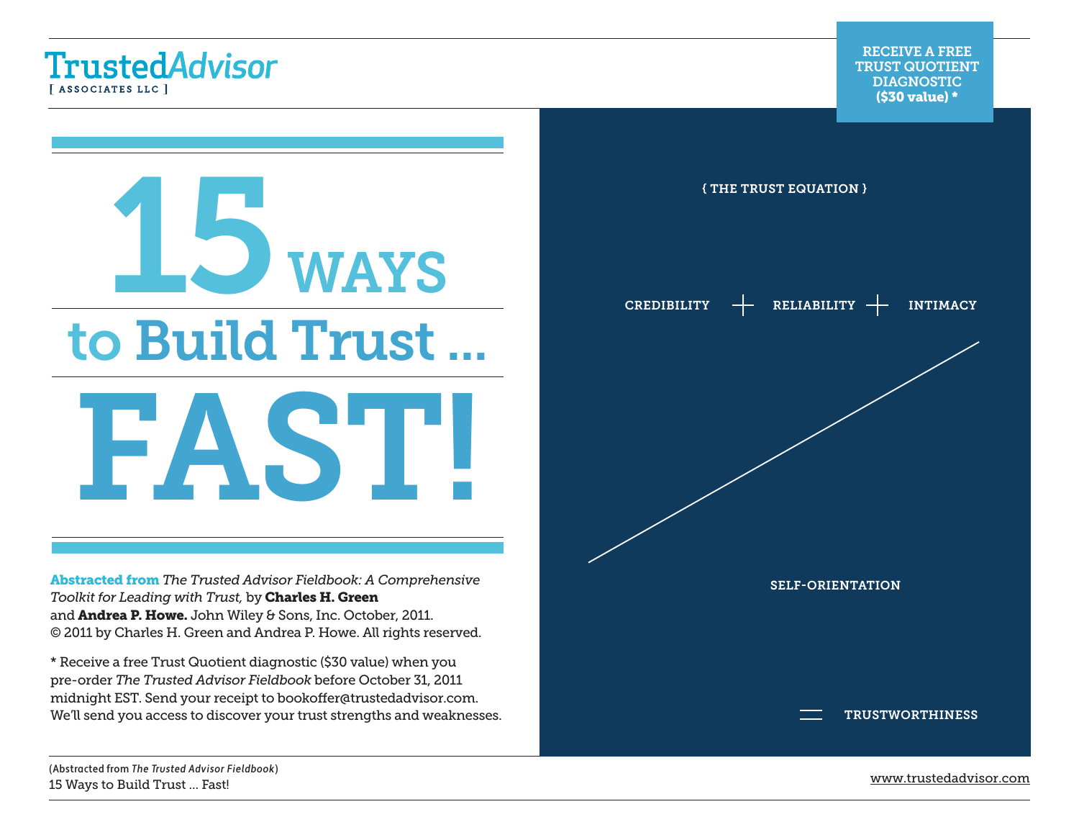**TrustedAdvisor** [ASSOCIATES LLC ]



Abstracted from *[The Trusted Advisor Fieldbook: A Comprehensive](http://www.amazon.com/Trusted-Advisor-Fieldbook-Comprehensive-Toolkit/dp/1118085647/ref=sr_1_1?s=books&ie=UTF8&qid=1315235055&sr=1-1)  [Toolkit for Leading with Trust,](http://www.amazon.com/Trusted-Advisor-Fieldbook-Comprehensive-Toolkit/dp/1118085647/ref=sr_1_1?s=books&ie=UTF8&qid=1315235055&sr=1-1)* by [Charles H. Green](http://trustedadvisor.com/cgreen) and **[Andrea P. Howe](http://trustedadvisor.com/consultants/andreahowe).** John Wiley & Sons, Inc. October, 2011. © 2011 by Charles H. Green and Andrea P. Howe. All rights reserved.

\* Receive a free Trust Quotient diagnostic (\$30 value) when you pre-order *The Trusted Advisor Fieldbook* before October 31, 2011 midnight EST. Send your receipt to bookoffer@trustedadvisor.com. We'll send you access to discover your trust strengths and weaknesses.



(Abstracted from [The Trusted Advisor Fieldbook](http://www.amazon.com/Trusted-Advisor-Fieldbook-Comprehensive-Toolkit/dp/1118085647/ref=sr_1_1?s=books&ie=UTF8&qid=1315235055&sr=1-1)) number of the matter of the matter of the matter of the matter of the matter of the matter of the matter of the matter of the matter of the matter of the matter of the matter of the matter of the matter of the matter of th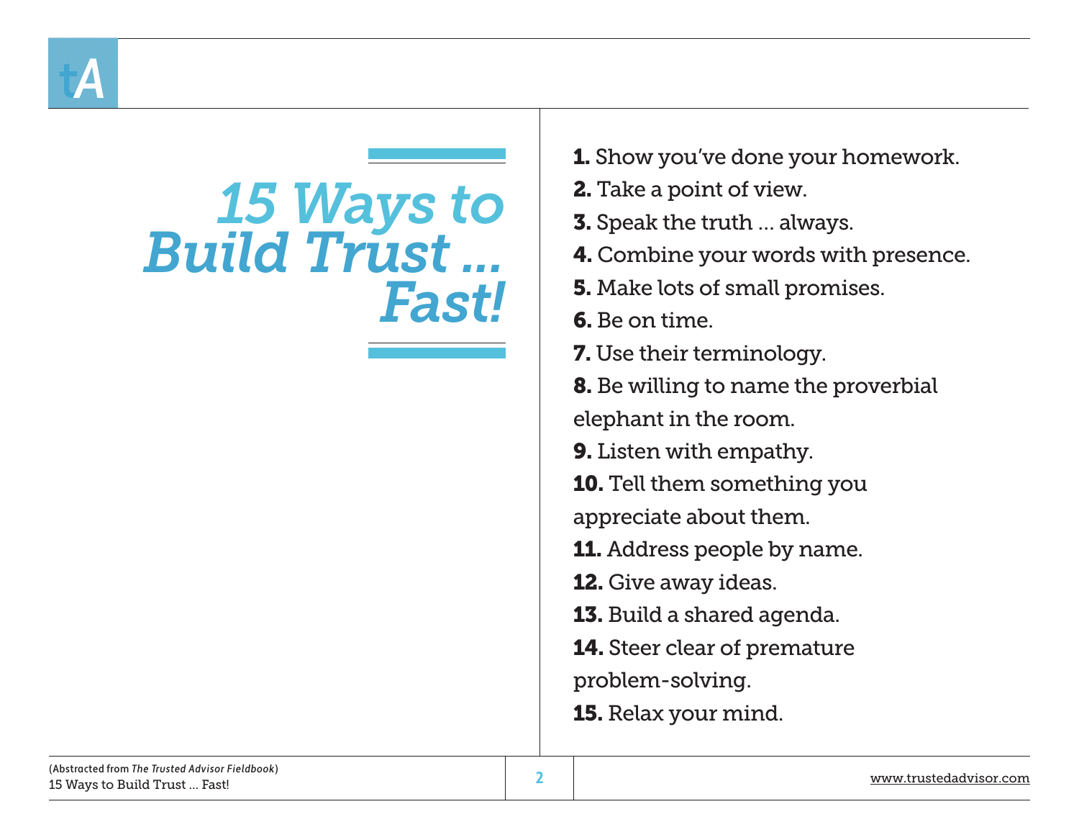

# *15 Ways to Build Trust ... Fast!*

- **1.** Show you've done your homework.
- 2. Take a point of view.
- 3. Speak the truth … always.
- 4. Combine your words with presence.
- **5.** Make lots of small promises.
- 6. Be on time.
- 7. Use their terminology.
- 8. Be willing to name the proverbial elephant in the room.
- 9. Listen with empathy.
- 10. Tell them something you
- appreciate about them.
- **11.** Address people by name.
- 12. Give away ideas.
- 13. Build a shared agenda.
- 14. Steer clear of premature
- problem-solving.
- 15. Relax your mind.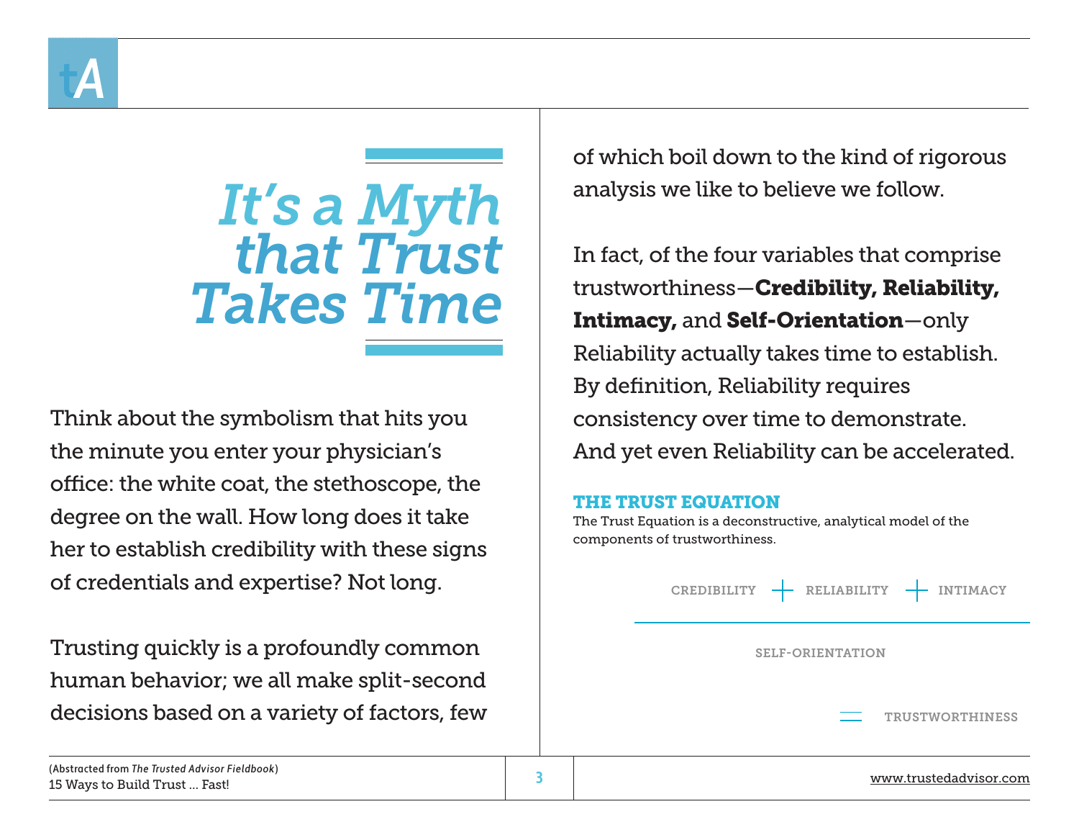

*It's a Myth that Trust Takes Time*

Think about the symbolism that hits you the minute you enter your physician's office: the white coat, the stethoscope, the degree on the wall. How long does it take her to establish credibility with these signs of credentials and expertise? Not long.

Trusting quickly is a profoundly common human behavior; we all make split-second decisions based on a variety of factors, few of which boil down to the kind of rigorous analysis we like to believe we follow.

In fact, of the four variables that comprise trustworthiness—Credibility, Reliability, Intimacy, and Self-Orientation—only Reliability actually takes time to establish. By definition, Reliability requires consistency over time to demonstrate. And yet even Reliability can be accelerated.

#### THE TRUST EQUATION

The Trust Equation is a deconstructive, analytical model of the components of trustworthiness.

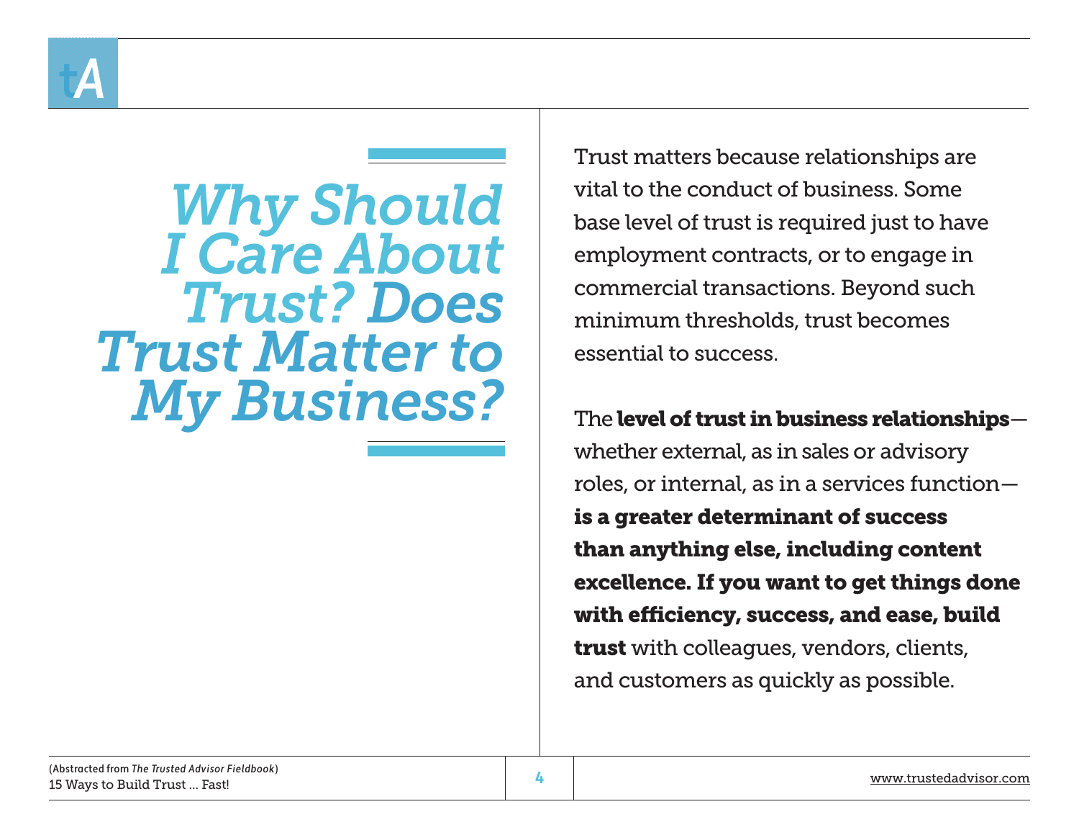

*Why Should I Care About Trust? Does Trust Matter to My Business?*

Trust matters because relationships are vital to the conduct of business. Some base level of trust is required just to have employment contracts, or to engage in commercial transactions. Beyond such minimum thresholds, trust becomes essential to success.

The level of trust in business relationships whether external, as in sales or advisory roles, or internal, as in a services function is a greater determinant of success than anything else, including content excellence. If you want to get things done with efficiency, success, and ease, build trust with colleagues, vendors, clients, and customers as quickly as possible.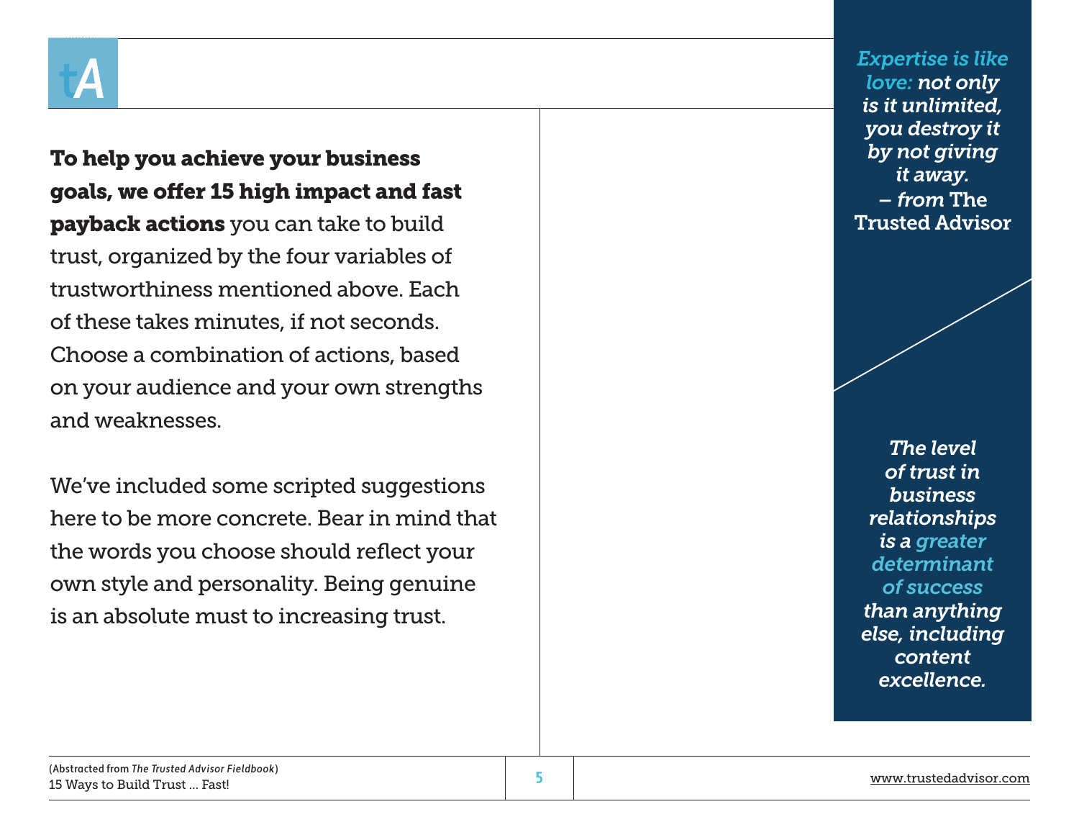

To help you achieve your business goals, we offer 15 high impact and fast **payback actions** you can take to build trust, organized by the four variables of trustworthiness mentioned above. Each of these takes minutes, if not seconds. Choose a combination of actions, based on your audience and your own strengths and weaknesses.

We've included some scripted suggestions here to be more concrete. Bear in mind that the words you choose should reflect your own style and personality. Being genuine is an absolute must to increasing trust.

*Expertise is like love: not only is it unlimited, you destroy it by not giving it away. – from* The Trusted Advisor

*The level of trust in business relationships is a greater determinant of success than anything else, including content excellence.*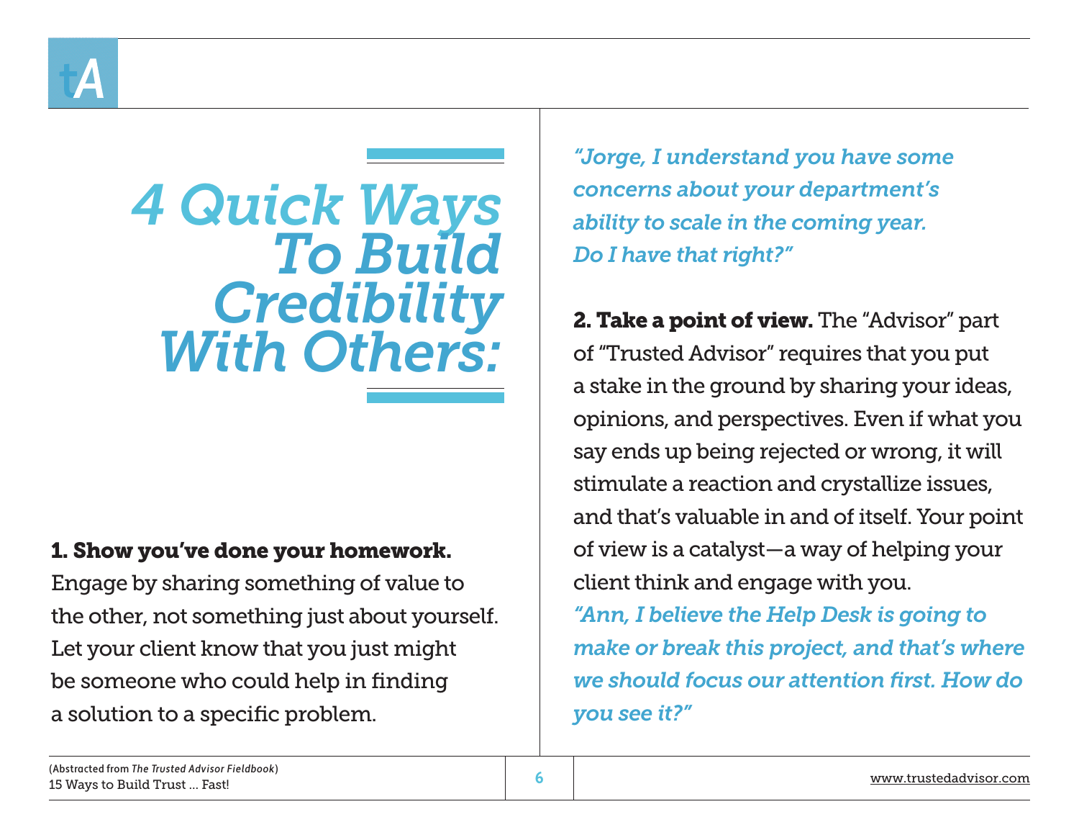

*4 Quick Ways To Build Credibility With Others:*

## 1. Show you've done your homework.

Engage by sharing something of value to the other, not something just about yourself. Let your client know that you just might be someone who could help in finding a solution to a specific problem.

*"Jorge, I understand you have some concerns about your department's ability to scale in the coming year. Do I have that right?"*

**2. Take a point of view.** The "Advisor" part of "Trusted Advisor" requires that you put a stake in the ground by sharing your ideas, opinions, and perspectives. Even if what you say ends up being rejected or wrong, it will stimulate a reaction and crystallize issues, and that's valuable in and of itself. Your point of view is a catalyst—a way of helping your client think and engage with you. *"Ann, I believe the Help Desk is going to make or break this project, and that's where we should focus our attention first. How do* 

*you see it?"*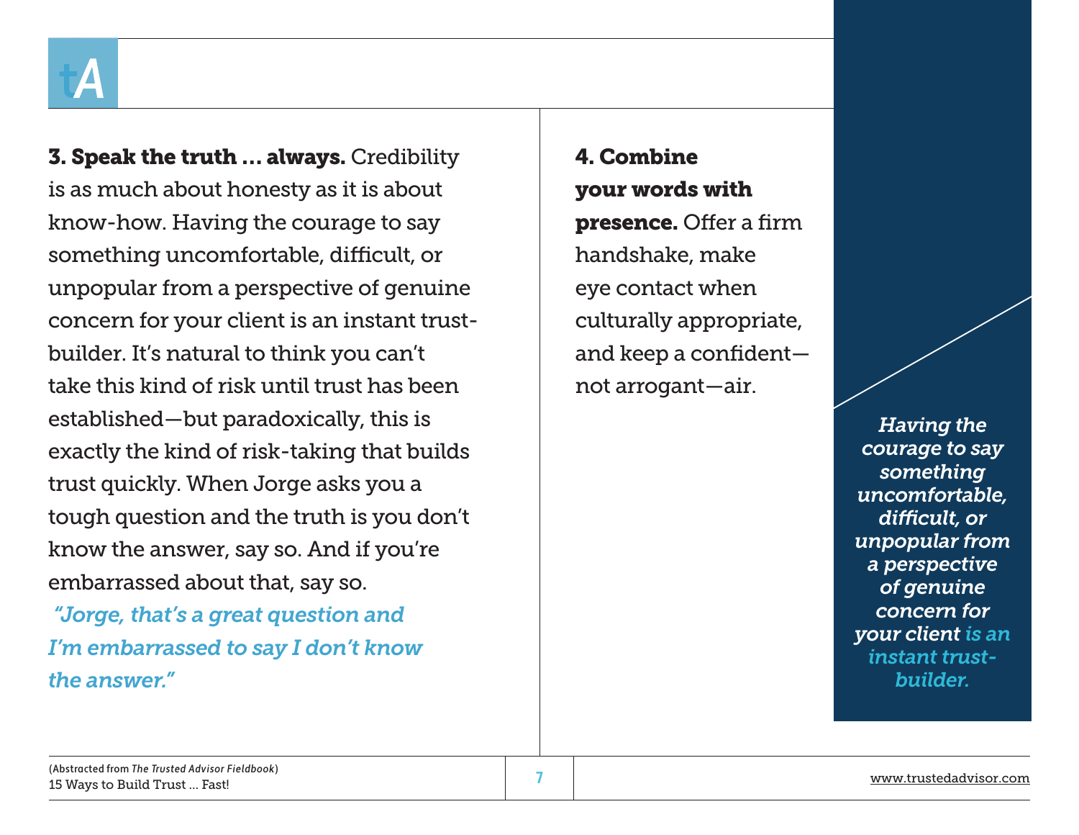**3. Speak the truth ... always.** Credibility is as much about honesty as it is about know-how. Having the courage to say something uncomfortable, difficult, or unpopular from a perspective of genuine concern for your client is an instant trustbuilder. It's natural to think you can't take this kind of risk until trust has been established—but paradoxically, this is exactly the kind of risk-taking that builds trust quickly. When Jorge asks you a tough question and the truth is you don't know the answer, say so. And if you're embarrassed about that, say so.

 *"Jorge, that's a great question and I'm embarrassed to say I don't know the answer."*

4. Combine your words with presence. Offer a firm handshake, make eye contact when culturally appropriate, and keep a confident not arrogant—air.

> *Having the courage to say something uncomfortable, difficult, or unpopular from a perspective of genuine concern for your client is an instant trustbuilder.*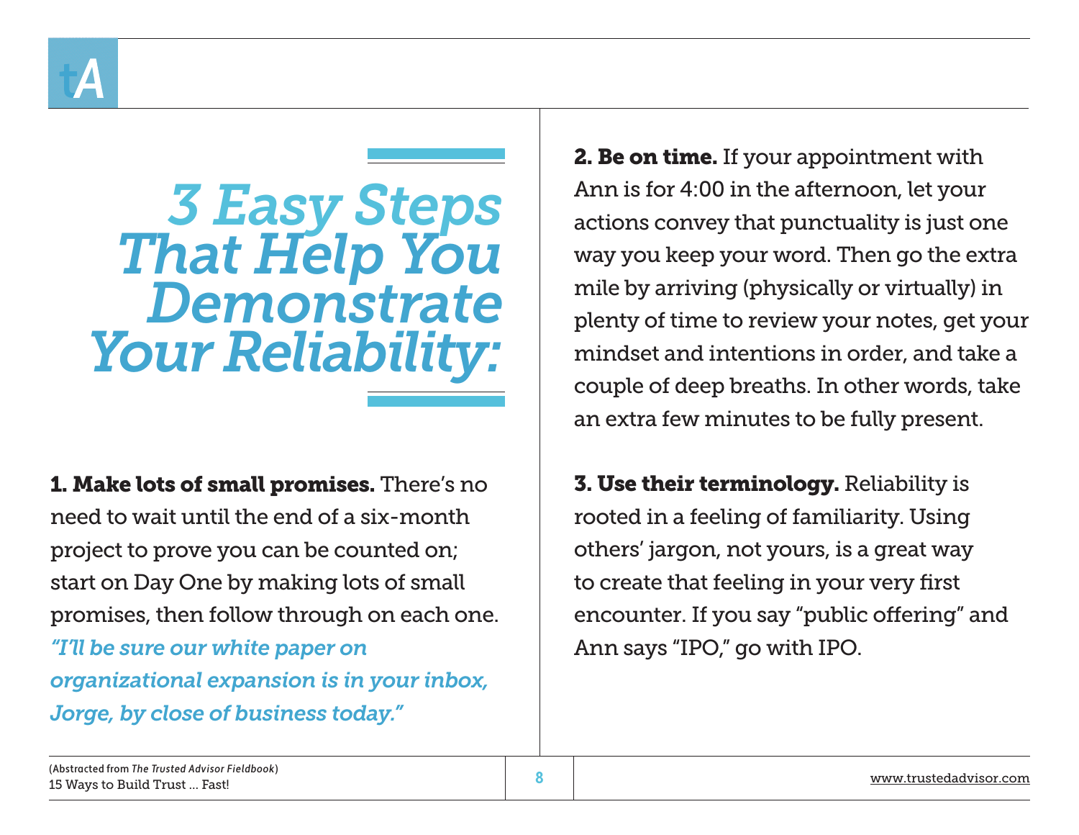

## *3 Easy Steps That Help You Demonstrate Your Reliability:*

1. Make lots of small promises. There's no need to wait until the end of a six-month project to prove you can be counted on; start on Day One by making lots of small promises, then follow through on each one. *"I'll be sure our white paper on organizational expansion is in your inbox, Jorge, by close of business today."*

**2. Be on time.** If your appointment with Ann is for 4:00 in the afternoon, let your actions convey that punctuality is just one way you keep your word. Then go the extra mile by arriving (physically or virtually) in plenty of time to review your notes, get your mindset and intentions in order, and take a couple of deep breaths. In other words, take an extra few minutes to be fully present.

**3. Use their terminology.** Reliability is rooted in a feeling of familiarity. Using others' jargon, not yours, is a great way to create that feeling in your very first encounter. If you say "public offering" and Ann says "IPO," go with IPO.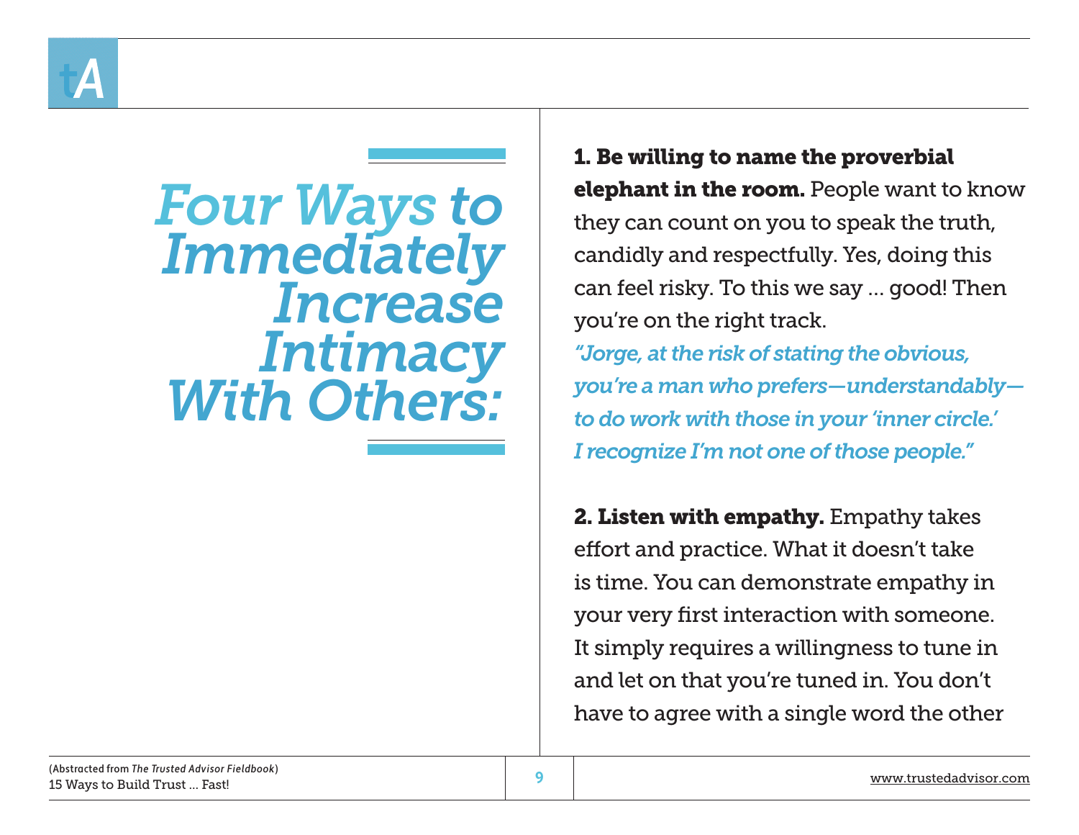

*Four Ways to Immediately Increase Intimacy With Others:*

1. Be willing to name the proverbial **elephant in the room.** People want to know they can count on you to speak the truth, candidly and respectfully. Yes, doing this can feel risky. To this we say … good! Then you're on the right track. *"Jorge, at the risk of stating the obvious, you're a man who prefers—understandably to do work with those in your 'inner circle.' I recognize I'm not one of those people."*

2. Listen with empathy. Empathy takes effort and practice. What it doesn't take is time. You can demonstrate empathy in your very first interaction with someone. It simply requires a willingness to tune in and let on that you're tuned in. You don't have to agree with a single word the other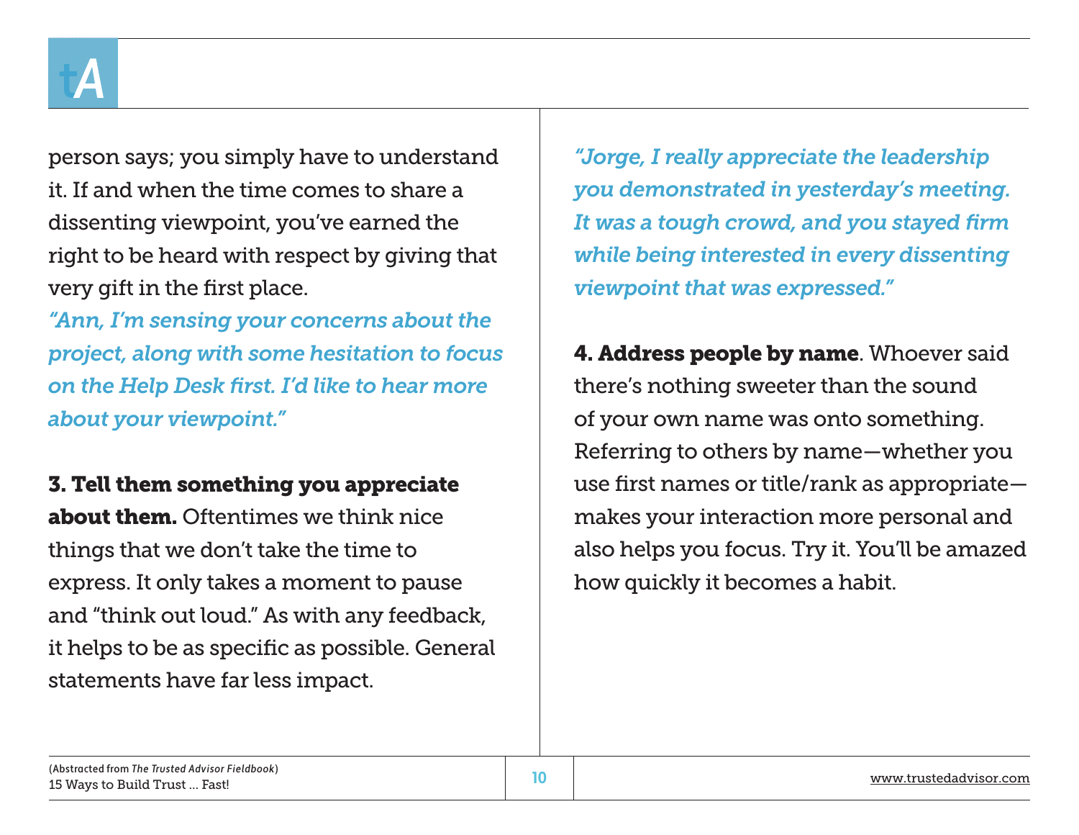

person says; you simply have to understand it. If and when the time comes to share a dissenting viewpoint, you've earned the right to be heard with respect by giving that very gift in the first place.

*"Ann, I'm sensing your concerns about the project, along with some hesitation to focus on the Help Desk first. I'd like to hear more about your viewpoint."* 

3. Tell them something you appreciate about them. Oftentimes we think nice things that we don't take the time to express. It only takes a moment to pause and "think out loud." As with any feedback, it helps to be as specific as possible. General statements have far less impact.

*"Jorge, I really appreciate the leadership you demonstrated in yesterday's meeting. It was a tough crowd, and you stayed firm while being interested in every dissenting viewpoint that was expressed."* 

**4. Address people by name.** Whoever said there's nothing sweeter than the sound of your own name was onto something. Referring to others by name—whether you use first names or title/rank as appropriate makes your interaction more personal and also helps you focus. Try it. You'll be amazed how quickly it becomes a habit.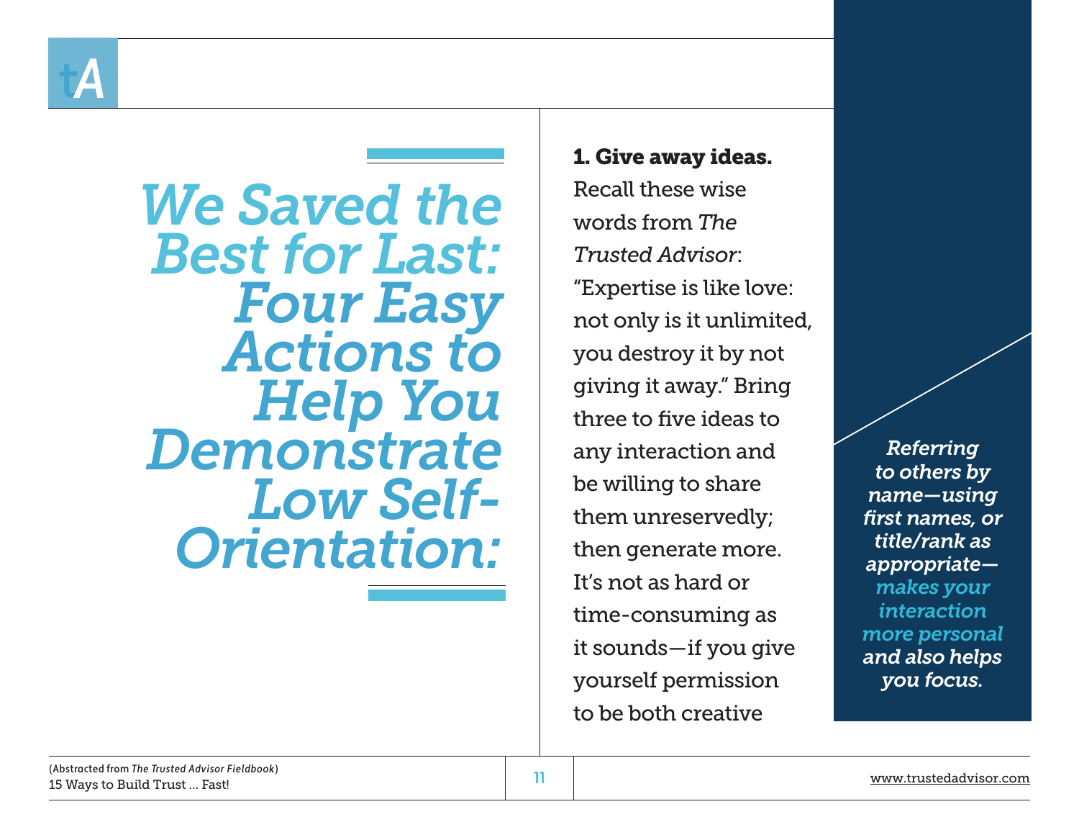

*We Saved the Best for Last: Four Easy Actions to Demonstrate Low Self-Orientation:*

1. Give away ideas. Recall these wise words from *The Trusted Advisor*: "Expertise is like love: not only is it unlimited, you destroy it by not giving it away." Bring three to five ideas to any interaction and be willing to share them unreservedly; then generate more. It's not as hard or time-consuming as it sounds—if you give yourself permission to be both creative

*Referring to others by name—using first names, or title/rank as appropriate makes your interaction more personal and also helps you focus.*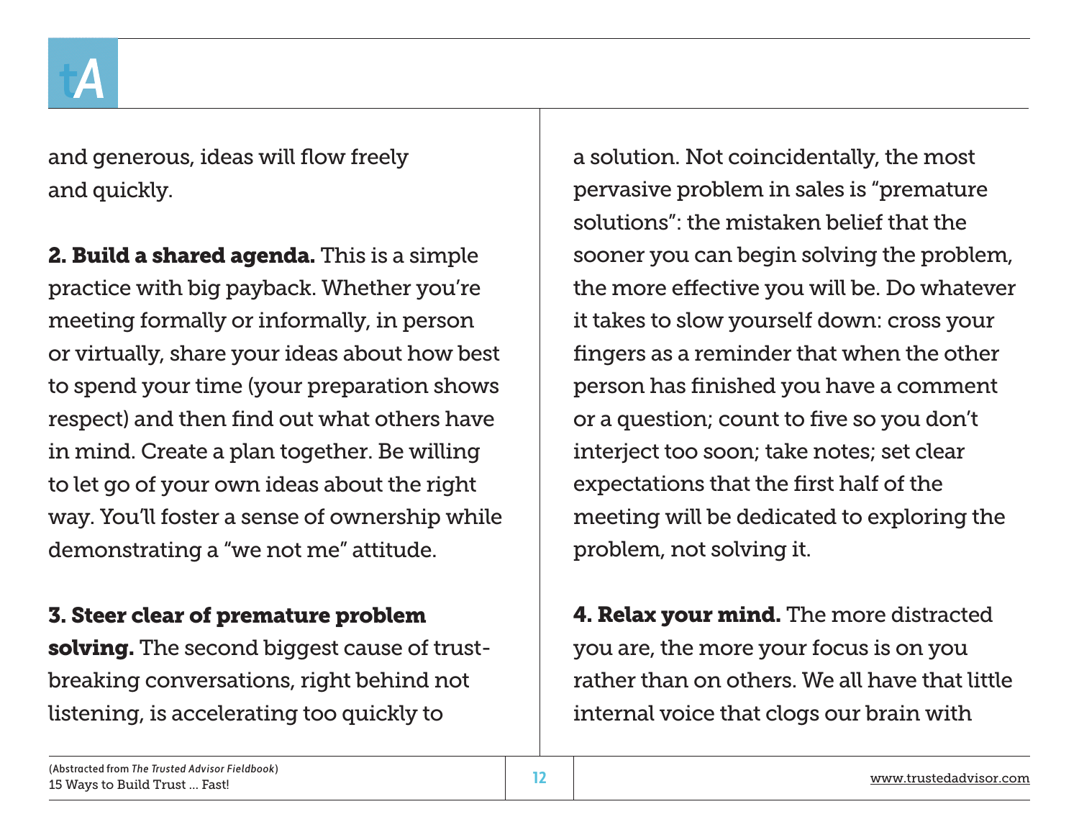

and generous, ideas will flow freely and quickly.

**2. Build a shared agenda.** This is a simple practice with big payback. Whether you're meeting formally or informally, in person or virtually, share your ideas about how best to spend your time (your preparation shows respect) and then find out what others have in mind. Create a plan together. Be willing to let go of your own ideas about the right way. You'll foster a sense of ownership while demonstrating a "we not me" attitude.

## 3. Steer clear of premature problem

solving. The second biggest cause of trustbreaking conversations, right behind not listening, is accelerating too quickly to

a solution. Not coincidentally, the most pervasive problem in sales is "premature solutions": the mistaken belief that the sooner you can begin solving the problem, the more effective you will be. Do whatever it takes to slow yourself down: cross your fingers as a reminder that when the other person has finished you have a comment or a question; count to five so you don't interject too soon; take notes; set clear expectations that the first half of the meeting will be dedicated to exploring the problem, not solving it.

**4. Relax your mind.** The more distracted you are, the more your focus is on you rather than on others. We all have that little internal voice that clogs our brain with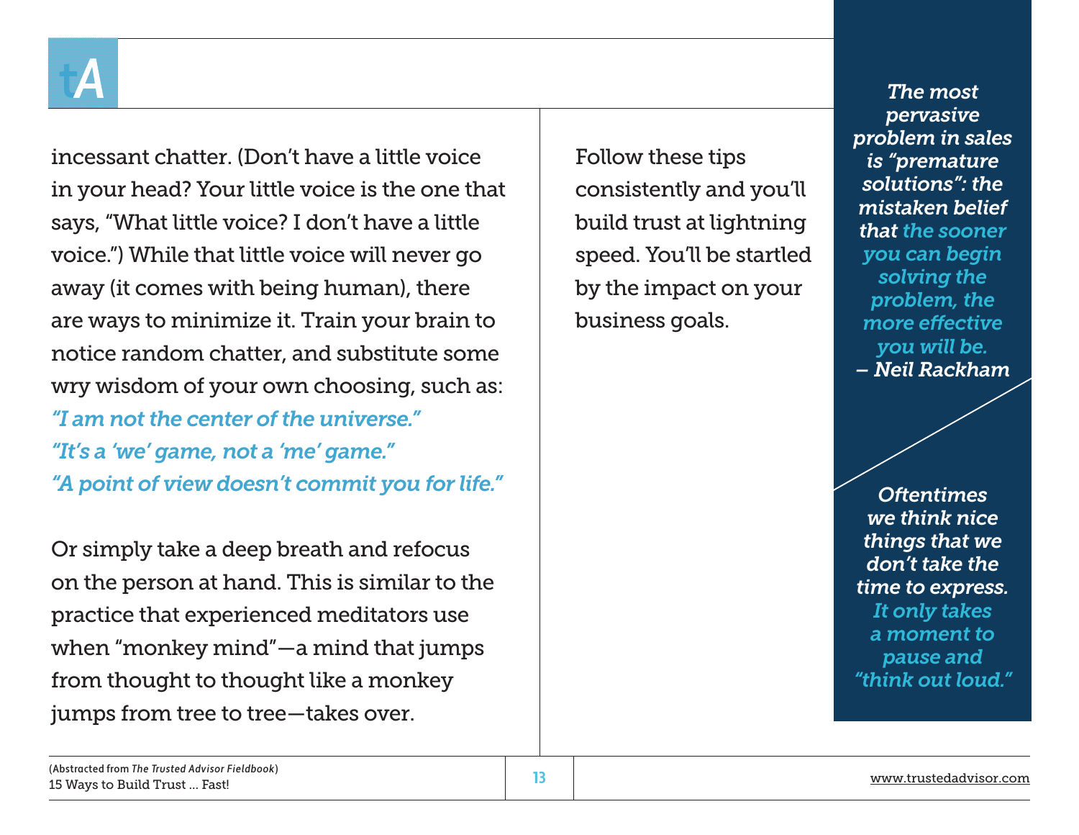

incessant chatter. (Don't have a little voice in your head? Your little voice is the one that says, "What little voice? I don't have a little voice.") While that little voice will never go away (it comes with being human), there are ways to minimize it. Train your brain to notice random chatter, and substitute some wry wisdom of your own choosing, such as: *"I am not the center of the universe." "It's a 'we' game, not a 'me' game." "A point of view doesn't commit you for life."*

Or simply take a deep breath and refocus on the person at hand. This is similar to the practice that experienced meditators use when "monkey mind"—a mind that jumps from thought to thought like a monkey jumps from tree to tree—takes over.

Follow these tips consistently and you'll build trust at lightning speed. You'll be startled by the impact on your business goals.

*The most pervasive problem in sales is "premature solutions": the mistaken belief that the sooner you can begin solving the problem, the more effective you will be. – Neil Rackham*

*Oftentimes we think nice things that we don't take the time to express. It only takes a moment to pause and "think out loud."*